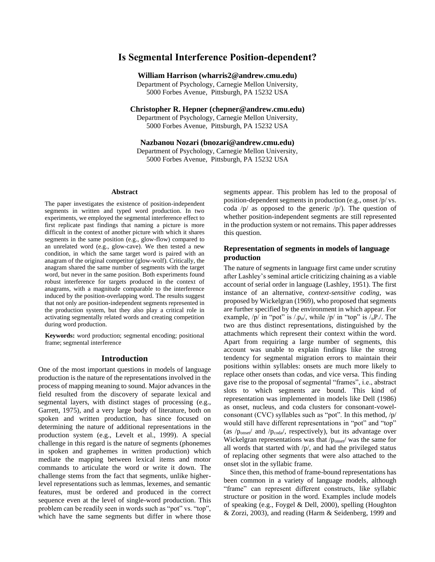# **Is Segmental Interference Position-dependent?**

## **William Harrison (wharris2@andrew.cmu.edu)**

Department of Psychology, Carnegie Mellon University, 5000 Forbes Avenue, Pittsburgh, PA 15232 USA

**Christopher R. Hepner (chepner@andrew.cmu.edu)**

Department of Psychology, Carnegie Mellon University, 5000 Forbes Avenue, Pittsburgh, PA 15232 USA

**Nazbanou Nozari (bnozari@andrew.cmu.edu)**

Department of Psychology, Carnegie Mellon University, 5000 Forbes Avenue, Pittsburgh, PA 15232 USA

#### **Abstract**

The paper investigates the existence of position-independent segments in written and typed word production. In two experiments, we employed the segmental interference effect to first replicate past findings that naming a picture is more difficult in the context of another picture with which it shares segments in the same position (e.g., glow-flow) compared to an unrelated word (e.g., glow-cave). We then tested a new condition, in which the same target word is paired with an anagram of the original competitor (glow-wolf). Critically, the anagram shared the same number of segments with the target word, but never in the same position. Both experiments found robust interference for targets produced in the context of anagrams, with a magnitude comparable to the interference induced by the position-overlapping word. The results suggest that not only are position-independent segments represented in the production system, but they also play a critical role in activating segmentally related words and creating competition during word production.

**Keywords:** word production; segmental encoding; positional frame; segmental interference

## **Introduction**

One of the most important questions in models of language production is the nature of the representations involved in the process of mapping meaning to sound. Major advances in the field resulted from the discovery of separate lexical and segmental layers, with distinct stages of processing (e.g., Garrett, 1975), and a very large body of literature, both on spoken and written production, has since focused on determining the nature of additional representations in the production system (e.g., Levelt et al., 1999). A special challenge in this regard is the nature of segments (phonemes in spoken and graphemes in written production) which mediate the mapping between lexical items and motor commands to articulate the word or write it down. The challenge stems from the fact that segments, unlike higherlevel representations such as lemmas, lexemes, and semantic features, must be ordered and produced in the correct sequence even at the level of single-word production. This problem can be readily seen in words such as "pot" vs. "top", which have the same segments but differ in where those

segments appear. This problem has led to the proposal of position-dependent segments in production (e.g., onset /p/ vs. coda  $/p/$  as opposed to the generic  $/p/$ ). The question of whether position-independent segments are still represented in the production system or not remains. This paper addresses this question.

## **Representation of segments in models of language production**

The nature of segments in language first came under scrutiny after Lashley's seminal article criticizing chaining as a viable account of serial order in language (Lashley, 1951). The first instance of an alternative, *context-sensitive coding*, was proposed by Wickelgran (1969), who proposed that segments are further specified by the environment in which appear. For example,  $/p/$  in "pot" is  $/p<sub>p</sub>$ , while  $/p/$  in "top" is  $/p<sub>p</sub>$ . The two are thus distinct representations, distinguished by the attachments which represent their context within the word. Apart from requiring a large number of segments, this account was unable to explain findings like the strong tendency for segmental migration errors to maintain their positions within syllables: onsets are much more likely to replace other onsets than codas, and vice versa. This finding gave rise to the proposal of segmental "frames", i.e., abstract slots to which segments are bound. This kind of representation was implemented in models like Dell (1986) as onset, nucleus, and coda clusters for consonant-vowelconsonant (CVC) syllables such as "pot". In this method, /p/ would still have different representations in "pot" and "top" (as  $/p_{\text{onset}}/$  and  $/p_{\text{coda}}/$ , respectively), but its advantage over Wickelgran representations was that  $/p_{onset}/$  was the same for all words that started with /p/, and had the privileged status of replacing other segments that were also attached to the onset slot in the syllabic frame.

Since then, this method of frame-bound representations has been common in a variety of language models, although "frame" can represent different constructs, like syllabic structure or position in the word. Examples include models of speaking (e.g., Foygel & Dell, 2000), spelling (Houghton & Zorzi, 2003), and reading (Harm & Seidenberg, 1999 and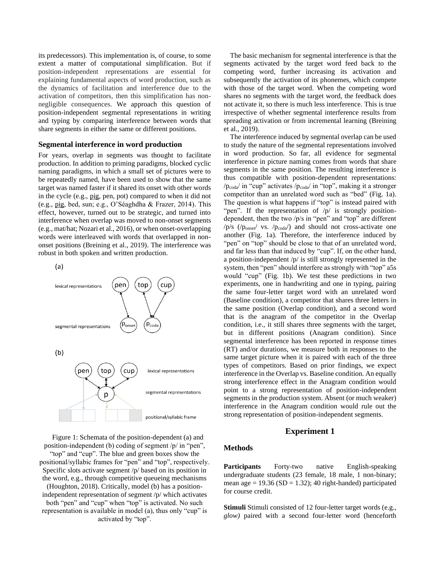its predecessors). This implementation is, of course, to some extent a matter of computational simplification. But if position-independent representations are essential for explaining fundamental aspects of word production, such as the dynamics of facilitation and interference due to the activation of competitors, then this simplification has nonnegligible consequences. We approach this question of position-independent segmental representations in writing and typing by comparing interference between words that share segments in either the same or different positions.

## **Segmental interference in word production**

For years, overlap in segments was thought to facilitate production. In addition to priming paradigms, blocked cyclic naming paradigms, in which a small set of pictures were to be repeatedly named, have been used to show that the same target was named faster if it shared its onset with other words in the cycle (e.g., pig, pen, pot) compared to when it did not (e.g., pig, bed, sun; e.g., O'Séaghdha & Frazer, 2014). This effect, however, turned out to be strategic, and turned into interference when overlap was moved to non-onset segments (e.g., mat/hat; Nozari et al., 2016), or when onset-overlapping words were interleaved with words that overlapped in nononset positions (Breining et al., 2019). The interference was robust in both spoken and written production.



Figure 1: Schemata of the position-dependent (a) and position-independent (b) coding of segment /p/ in "pen",

"top" and "cup". The blue and green boxes show the positional/syllabic frames for "pen" and "top", respectively. Specific slots activate segment /p/ based on its position in the word, e.g., through competitive queueing mechanisms (Houghton, 2018). Critically, model (b) has a positionindependent representation of segment /p/ which activates both "pen" and "cup" when "top" is activated. No such representation is available in model (a), thus only "cup" is

activated by "top".

The basic mechanism for segmental interference is that the segments activated by the target word feed back to the competing word, further increasing its activation and subsequently the activation of its phonemes, which compete with those of the target word. When the competing word shares no segments with the target word, the feedback does not activate it, so there is much less interference. This is true irrespective of whether segmental interference results from spreading activation or from incremental learning (Breining et al., 2019).

The interference induced by segmental overlap can be used to study the nature of the segmental representations involved in word production. So far, all evidence for segmental interference in picture naming comes from words that share segments in the same position. The resulting interference is thus compatible with position-dependent representations:  $/p_{\text{coda}}/$  in "cup" activates  $/p_{\text{coda}}/$  in "top", making it a stronger competitor than an unrelated word such as "bed" (Fig. 1a). The question is what happens if "top" is instead paired with "pen". If the representation of  $/p/$  is strongly positiondependent, then the two /p/s in "pen" and "top" are different  $/p/s$  ( $/p_{onset}$  vs.  $/p_{coda}$ ) and should not cross-activate one another (Fig. 1a). Therefore, the interference induced by "pen" on "top" should be close to that of an unrelated word, and far less than that induced by "cup". If, on the other hand, a position-independent /p/ is still strongly represented in the system, then "pen" should interfere as strongly with "top" a5s would "cup" (Fig. 1b). We test these predictions in two experiments, one in handwriting and one in typing, pairing the same four-letter target word with an unrelated word (Baseline condition), a competitor that shares three letters in the same position (Overlap condition), and a second word that is the anagram of the competitor in the Overlap condition, i.e., it still shares three segments with the target, but in different positions (Anagram condition). Since segmental interference has been reported in response times (RT) and/or durations, we measure both in responses to the same target picture when it is paired with each of the three types of competitors. Based on prior findings, we expect interference in the Overlap vs. Baseline condition. An equally strong interference effect in the Anagram condition would point to a strong representation of position-independent segments in the production system. Absent (or much weaker) interference in the Anagram condition would rule out the strong representation of position-independent segments.

## **Experiment 1**

#### **Methods**

**Participants** Forty-two native English-speaking undergraduate students (23 female, 18 male, 1 non-binary; mean age  $= 19.36$  (SD  $= 1.32$ ); 40 right-handed) participated for course credit.

**Stimuli** Stimuli consisted of 12 four-letter target words (e.g., *glow)* paired with a second four-letter word (henceforth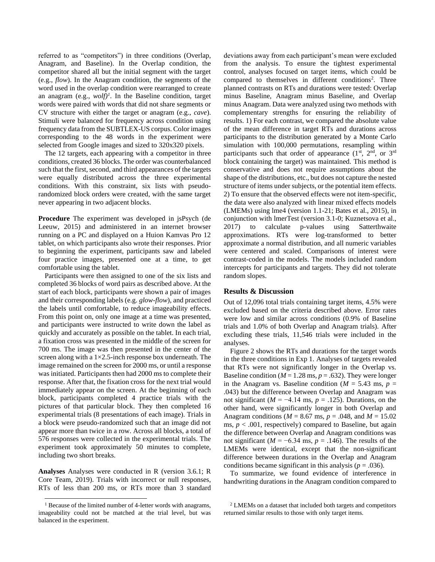referred to as "competitors") in three conditions (Overlap, Anagram, and Baseline). In the Overlap condition, the competitor shared all but the initial segment with the target (e.g., *flow*). In the Anagram condition, the segments of the word used in the overlap condition were rearranged to create an anagram  $(e.g., \nwoheadrightarrow b)^{1}$ . In the Baseline condition, target words were paired with words that did not share segments or CV structure with either the target or anagram (e.g., *cave*). Stimuli were balanced for frequency across condition using frequency data from the SUBTLEX-US corpus. Color images corresponding to the 48 words in the experiment were selected from Google images and sized to 320x320 pixels.

The 12 targets, each appearing with a competitor in three conditions, created 36 blocks. The order was counterbalanced such that the first, second, and third appearances of the targets were equally distributed across the three experimental conditions. With this constraint, six lists with pseudorandomized block orders were created, with the same target never appearing in two adjacent blocks.

**Procedure** The experiment was developed in jsPsych (de Leeuw, 2015) and administered in an internet browser running on a PC and displayed on a Huion Kamvas Pro 12 tablet, on which participants also wrote their responses. Prior to beginning the experiment, participants saw and labeled four practice images, presented one at a time, to get comfortable using the tablet.

Participants were then assigned to one of the six lists and completed 36 blocks of word pairs as described above. At the start of each block, participants were shown a pair of images and their corresponding labels (e.g. *glow-flow*), and practiced the labels until comfortable, to reduce imageability effects. From this point on, only one image at a time was presented, and participants were instructed to write down the label as quickly and accurately as possible on the tablet. In each trial, a fixation cross was presented in the middle of the screen for 700 ms. The image was then presented in the center of the screen along with a  $1\times2.5$ -inch response box underneath. The image remained on the screen for 2000 ms, or until a response was initiated. Participants then had 2000 ms to complete their response. After that, the fixation cross for the next trial would immediately appear on the screen. At the beginning of each block, participants completed 4 practice trials with the pictures of that particular block. They then completed 16 experimental trials (8 presentations of each image). Trials in a block were pseudo-randomized such that an image did not appear more than twice in a row. Across all blocks, a total of 576 responses were collected in the experimental trials. The experiment took approximately 50 minutes to complete, including two short breaks.

**Analyses** Analyses were conducted in R (version 3.6.1; R Core Team, 2019). Trials with incorrect or null responses, RTs of less than 200 ms, or RTs more than 3 standard deviations away from each participant's mean were excluded from the analysis. To ensure the tightest experimental control, analyses focused on target items, which could be compared to themselves in different conditions<sup>2</sup>. Three planned contrasts on RTs and durations were tested: Overlap minus Baseline, Anagram minus Baseline, and Overlap minus Anagram. Data were analyzed using two methods with complementary strengths for ensuring the reliability of results. 1) For each contrast, we compared the absolute value of the mean difference in target RTs and durations across participants to the distribution generated by a Monte Carlo simulation with 100,000 permutations, resampling within participants such that order of appearance  $(1<sup>st</sup>, 2<sup>nd</sup>, or 3<sup>rd</sup>)$ block containing the target) was maintained. This method is conservative and does not require assumptions about the shape of the distributions, etc., but does not capture the nested structure of items under subjects, or the potential item effects. 2) To ensure that the observed effects were not item-specific, the data were also analyzed with linear mixed effects models (LMEMs) using lme4 (version 1.1-21; Bates et al., 2015), in conjunction with lmerTest (version 3.1-0; Kuznetsova et al., 2017) to calculate p-values using Satterthwaite approximations. RTs were log-transformed to better approximate a normal distribution, and all numeric variables were centered and scaled. Comparisons of interest were contrast-coded in the models. The models included random intercepts for participants and targets. They did not tolerate random slopes.

## **Results & Discussion**

Out of 12,096 total trials containing target items, 4.5% were excluded based on the criteria described above. Error rates were low and similar across conditions (0.9% of Baseline trials and 1.0% of both Overlap and Anagram trials). After excluding these trials, 11,546 trials were included in the analyses.

Figure 2 shows the RTs and durations for the target words in the three conditions in Exp 1. Analyses of targets revealed that RTs were not significantly longer in the Overlap vs. Baseline condition ( $M = 1.28$  ms,  $p = .632$ ). They were longer in the Anagram vs. Baseline condition ( $M = 5.43$  ms,  $p =$ .043) but the difference between Overlap and Anagram was not significant ( $M = -4.14$  ms,  $p = .125$ ). Durations, on the other hand, were significantly longer in both Overlap and Anagram conditions ( $M = 8.67$  ms,  $p = .048$ , and  $M = 15.02$ ms,  $p < .001$ , respectively) compared to Baseline, but again the difference between Overlap and Anagram conditions was not significant ( $M = -6.34$  ms,  $p = .146$ ). The results of the LMEMs were identical, except that the non-significant difference between durations in the Overlap and Anagram conditions became significant in this analysis ( $p = .036$ ).

To summarize, we found evidence of interference in handwriting durations in the Anagram condition compared to

<sup>&</sup>lt;sup>1</sup> Because of the limited number of 4-letter words with anagrams, imageability could not be matched at the trial level, but was balanced in the experiment.

<sup>2</sup> LMEMs on a dataset that included both targets and competitors returned similar results to those with only target items.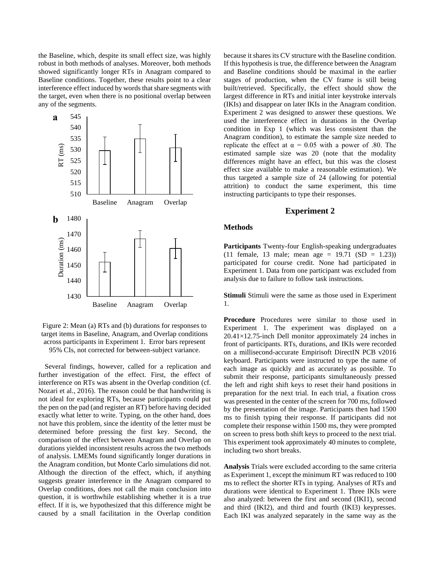the Baseline, which, despite its small effect size, was highly robust in both methods of analyses. Moreover, both methods showed significantly longer RTs in Anagram compared to Baseline conditions. Together, these results point to a clear interference effect induced by words that share segments with the target, even when there is no positional overlap between any of the segments.



Figure 2: Mean (a) RTs and (b) durations for responses to target items in Baseline, Anagram, and Overlap conditions across participants in Experiment 1. Error bars represent 95% CIs, not corrected for between-subject variance.

Several findings, however, called for a replication and further investigation of the effect. First, the effect of interference on RTs was absent in the Overlap condition (cf. Nozari et al., 2016). The reason could be that handwriting is not ideal for exploring RTs, because participants could put the pen on the pad (and register an RT) before having decided exactly what letter to write. Typing, on the other hand, does not have this problem, since the identity of the letter must be determined before pressing the first key. Second, the comparison of the effect between Anagram and Overlap on durations yielded inconsistent results across the two methods of analysis. LMEMs found significantly longer durations in the Anagram condition, but Monte Carlo simulations did not. Although the direction of the effect, which, if anything suggests greater interference in the Anagram compared to Overlap conditions, does not call the main conclusion into question, it is worthwhile establishing whether it is a true effect. If it is, we hypothesized that this difference might be caused by a small facilitation in the Overlap condition

because it shares its CV structure with the Baseline condition. If this hypothesis is true, the difference between the Anagram and Baseline conditions should be maximal in the earlier stages of production, when the CV frame is still being built/retrieved. Specifically, the effect should show the largest difference in RTs and initial inter keystroke intervals (IKIs) and disappear on later IKIs in the Anagram condition. Experiment 2 was designed to answer these questions. We used the interference effect in durations in the Overlap condition in Exp 1 (which was less consistent than the Anagram condition), to estimate the sample size needed to replicate the effect at  $\alpha = 0.05$  with a power of .80. The estimated sample size was 20 (note that the modality differences might have an effect, but this was the closest effect size available to make a reasonable estimation). We thus targeted a sample size of 24 (allowing for potential attrition) to conduct the same experiment, this time instructing participants to type their responses.

### **Experiment 2**

## **Methods**

**Participants** Twenty-four English-speaking undergraduates (11 female, 13 male; mean age =  $19.71$  (SD = 1.23)) participated for course credit. None had participated in Experiment 1. Data from one participant was excluded from analysis due to failure to follow task instructions.

**Stimuli** Stimuli were the same as those used in Experiment 1.

**Procedure** Procedures were similar to those used in Experiment 1. The experiment was displayed on a 20.41×12.75-inch Dell monitor approximately 24 inches in front of participants. RTs, durations, and IKIs were recorded on a millisecond-accurate Empirisoft DirectIN PCB v2016 keyboard. Participants were instructed to type the name of each image as quickly and as accurately as possible. To submit their response, participants simultaneously pressed the left and right shift keys to reset their hand positions in preparation for the next trial. In each trial, a fixation cross was presented in the center of the screen for 700 ms, followed by the presentation of the image. Participants then had 1500 ms to finish typing their response. If participants did not complete their response within 1500 ms, they were prompted on screen to press both shift keys to proceed to the next trial. This experiment took approximately 40 minutes to complete, including two short breaks.

**Analysis** Trials were excluded according to the same criteria as Experiment 1, except the minimum RT was reduced to 100 ms to reflect the shorter RTs in typing. Analyses of RTs and durations were identical to Experiment 1. Three IKIs were also analyzed: between the first and second (IKI1), second and third (IKI2), and third and fourth (IKI3) keypresses. Each IKI was analyzed separately in the same way as the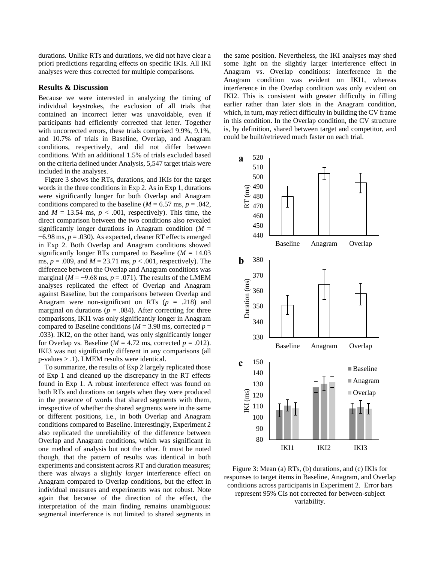durations. Unlike RTs and durations, we did not have clear a priori predictions regarding effects on specific IKIs. All IKI analyses were thus corrected for multiple comparisons.

## **Results & Discussion**

Because we were interested in analyzing the timing of individual keystrokes, the exclusion of all trials that contained an incorrect letter was unavoidable, even if participants had efficiently corrected that letter. Together with uncorrected errors, these trials comprised 9.9%, 9.1%, and 10.7% of trials in Baseline, Overlap, and Anagram conditions, respectively, and did not differ between conditions. With an additional 1.5% of trials excluded based on the criteria defined under Analysis, 5,547 target trials were included in the analyses.

Figure 3 shows the RTs, durations, and IKIs for the target words in the three conditions in Exp 2. As in Exp 1, durations were significantly longer for both Overlap and Anagram conditions compared to the baseline ( $M = 6.57$  ms,  $p = .042$ , and  $M = 13.54$  ms,  $p < .001$ , respectively). This time, the direct comparison between the two conditions also revealed significantly longer durations in Anagram condition  $(M =$ −6.98 ms, *p* = .030). As expected, cleaner RT effects emerged in Exp 2. Both Overlap and Anagram conditions showed significantly longer RTs compared to Baseline (*M* = 14.03 ms, *p* = .009, and *M* = 23.71 ms, *p* < .001, respectively). The difference between the Overlap and Anagram conditions was marginal ( $M = -9.68$  ms,  $p = .071$ ). The results of the LMEM analyses replicated the effect of Overlap and Anagram against Baseline, but the comparisons between Overlap and Anagram were non-significant on RTs  $(p = .218)$  and marginal on durations ( $p = .084$ ). After correcting for three comparisons, IKI1 was only significantly longer in Anagram compared to Baseline conditions ( $M = 3.98$  ms, corrected  $p =$ .033). IKI2, on the other hand, was only significantly longer for Overlap vs. Baseline ( $M = 4.72$  ms, corrected  $p = .012$ ). IKI3 was not significantly different in any comparisons (all p-values > .1). LMEM results were identical.

To summarize, the results of Exp 2 largely replicated those of Exp 1 and cleaned up the discrepancy in the RT effects found in Exp 1. A robust interference effect was found on both RTs and durations on targets when they were produced in the presence of words that shared segments with them, irrespective of whether the shared segments were in the same or different positions, i.e., in both Overlap and Anagram conditions compared to Baseline. Interestingly, Experiment 2 also replicated the unreliability of the difference between Overlap and Anagram conditions, which was significant in one method of analysis but not the other. It must be noted though, that the pattern of results was identical in both experiments and consistent across RT and duration measures; there was always a slightly *larger* interference effect on Anagram compared to Overlap conditions, but the effect in individual measures and experiments was not robust. Note again that because of the direction of the effect, the interpretation of the main finding remains unambiguous: segmental interference is not limited to shared segments in the same position. Nevertheless, the IKI analyses may shed some light on the slightly larger interference effect in Anagram vs. Overlap conditions: interference in the Anagram condition was evident on IKI1, whereas interference in the Overlap condition was only evident on IKI2. This is consistent with greater difficulty in filling earlier rather than later slots in the Anagram condition, which, in turn, may reflect difficulty in building the CV frame in this condition. In the Overlap condition, the CV structure is, by definition, shared between target and competitor, and could be built/retrieved much faster on each trial.



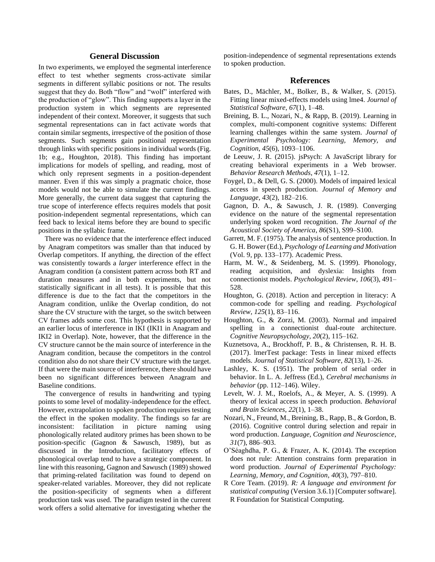## **General Discussion**

In two experiments, we employed the segmental interference effect to test whether segments cross-activate similar segments in different syllabic positions or not. The results suggest that they do. Both "flow" and "wolf" interfered with the production of "glow". This finding supports a layer in the production system in which segments are represented independent of their context. Moreover, it suggests that such segmental representations can in fact activate words that contain similar segments, irrespective of the position of those segments. Such segments gain positional representation through links with specific positions in individual words (Fig. 1b; e.g., Houghton, 2018). This finding has important implications for models of spelling, and reading, most of which only represent segments in a position-dependent manner. Even if this was simply a pragmatic choice, those models would not be able to simulate the current findings. More generally, the current data suggest that capturing the true scope of interference effects requires models that posit position-independent segmental representations, which can feed back to lexical items before they are bound to specific positions in the syllabic frame.

There was no evidence that the interference effect induced by Anagram competitors was smaller than that induced by Overlap competitors. If anything, the direction of the effect was consistently towards a *larger* interference effect in the Anagram condition (a consistent pattern across both RT and duration measures and in both experiments, but not statistically significant in all tests). It is possible that this difference is due to the fact that the competitors in the Anagram condition, unlike the Overlap condition, do not share the CV structure with the target, so the switch between CV frames adds some cost. This hypothesis is supported by an earlier locus of interference in IKI (IKI1 in Anagram and IKI2 in Overlap). Note, however, that the difference in the CV structure cannot be the main source of interference in the Anagram condition, because the competitors in the control condition also do not share their CV structure with the target. If that were the main source of interference, there should have been no significant differences between Anagram and Baseline conditions.

The convergence of results in handwriting and typing points to some level of modality-independence for the effect. However, extrapolation to spoken production requires testing the effect in the spoken modality. The findings so far are inconsistent: facilitation in picture naming using phonologically related auditory primes has been shown to be position-specific (Gagnon & Sawusch, 1989), but as discussed in the Introduction, facilitatory effects of phonological overlap tend to have a strategic component. In line with this reasoning, Gagnon and Sawusch (1989) showed that priming-related facilitation was found to depend on speaker-related variables. Moreover, they did not replicate the position-specificity of segments when a different production task was used. The paradigm tested in the current work offers a solid alternative for investigating whether the

position-independence of segmental representations extends to spoken production.

#### **References**

- Bates, D., Mächler, M., Bolker, B., & Walker, S. (2015). Fitting linear mixed-effects models using lme4. *Journal of Statistical Software*, *67*(1), 1–48.
- Breining, B. L., Nozari, N., & Rapp, B. (2019). Learning in complex, multi-component cognitive systems: Different learning challenges within the same system. *Journal of Experimental Psychology: Learning, Memory, and Cognition*, *45*(6), 1093–1106.
- de Leeuw, J. R. (2015). jsPsych: A JavaScript library for creating behavioral experiments in a Web browser. *Behavior Research Methods*, *47*(1), 1–12.
- Foygel, D., & Dell, G. S. (2000). Models of impaired lexical access in speech production. *Journal of Memory and Language*, *43*(2), 182–216.
- Gagnon, D. A., & Sawusch, J. R. (1989). Converging evidence on the nature of the segmental representation underlying spoken word recognition. *The Journal of the Acoustical Society of America*, *86*(S1), S99–S100.
- Garrett, M. F. (1975). The analysis of sentence production. In G. H. Bower (Ed.), *Psychology of Learning and Motivation* (Vol. 9, pp. 133–177). Academic Press.
- Harm, M. W., & Seidenberg, M. S. (1999). Phonology, reading acquisition, and dyslexia: Insights from connectionist models. *Psychological Review*, *106*(3), 491– 528.
- Houghton, G. (2018). Action and perception in literacy: A common-code for spelling and reading. *Psychological Review*, *125*(1), 83–116.
- Houghton, G., & Zorzi, M. (2003). Normal and impaired spelling in a connectionist dual-route architecture. *Cognitive Neuropsychology*, *20*(2), 115–162.
- Kuznetsova, A., Brockhoff, P. B., & Christensen, R. H. B. (2017). lmerTest package: Tests in linear mixed effects models. *Journal of Statistical Software*, *82*(13), 1–26.
- Lashley, K. S. (1951). The problem of serial order in behavior. In L. A. Jeffress (Ed.), *Cerebral mechanisms in behavior* (pp. 112–146). Wiley.
- Levelt, W. J. M., Roelofs, A., & Meyer, A. S. (1999). A theory of lexical access in speech production. *Behavioral and Brain Sciences*, *22*(1), 1–38.
- Nozari, N., Freund, M., Breining, B., Rapp, B., & Gordon, B. (2016). Cognitive control during selection and repair in word production. *Language, Cognition and Neuroscience*, *31*(7), 886–903.
- O'Séaghdha, P. G., & Frazer, A. K. (2014). The exception does not rule: Attention constrains form preparation in word production. *Journal of Experimental Psychology: Learning, Memory, and Cognition*, *40*(3), 797–810.
- R Core Team. (2019). *R: A language and environment for statistical computing* (Version 3.6.1) [Computer software]. R Foundation for Statistical Computing.